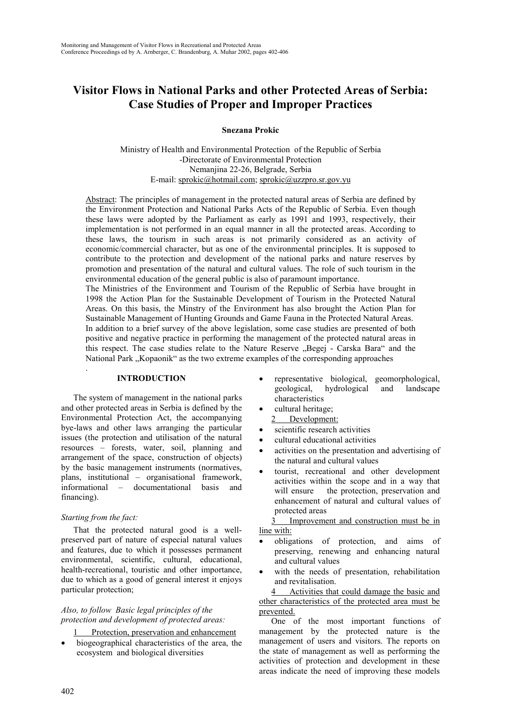# **Visitor Flows in National Parks and other Protected Areas of Serbia: Case Studies of Proper and Improper Practices**

**Snezana Prokic**

Ministry of Health and Environmental Protection of the Republic of Serbia -Directorate of Environmental Protection Nemanjina 22-26, Belgrade, Serbia E-mail: sprokic@hotmail.com; sprokic@uzzpro.sr.gov.yu

Abstract: The principles of management in the protected natural areas of Serbia are defined by the Environment Protection and National Parks Acts of the Republic of Serbia. Even though these laws were adopted by the Parliament as early as 1991 and 1993, respectively, their implementation is not performed in an equal manner in all the protected areas. According to these laws, the tourism in such areas is not primarily considered as an activity of economic/commercial character, but as one of the environmental principles. It is supposed to contribute to the protection and development of the national parks and nature reserves by promotion and presentation of the natural and cultural values. The role of such tourism in the environmental education of the general public is also of paramount importance.

The Ministries of the Environment and Tourism of the Republic of Serbia have brought in 1998 the Action Plan for the Sustainable Development of Tourism in the Protected Natural Areas. On this basis, the Minstry of the Environment has also brought the Action Plan for Sustainable Management of Hunting Grounds and Game Fauna in the Protected Natural Areas. In addition to a brief survey of the above legislation, some case studies are presented of both positive and negative practice in performing the management of the protected natural areas in this respect. The case studies relate to the Nature Reserve "Begej - Carska Bara" and the National Park "Kopaonik" as the two extreme examples of the corresponding approaches

# **INTRODUCTION**

The system of management in the national parks and other protected areas in Serbia is defined by the Environmental Protection Act, the accompanying bye-laws and other laws arranging the particular issues (the protection and utilisation of the natural resources – forests, water, soil, planning and arrangement of the space, construction of objects) by the basic management instruments (normatives, plans, institutional – organisational framework, informational – documentational basis and financing).

# *Starting from the fact:*

.

That the protected natural good is a wellpreserved part of nature of especial natural values and features, due to which it possesses permanent environmental, scientific, cultural, educational, health-recreational, touristic and other importance, due to which as a good of general interest it enjoys particular protection;

## *Also, to follow Basic legal principles of the protection and development of protected areas:*

- Protection, preservation and enhancement
- biogeographical characteristics of the area, the ecosystem and biological diversities
- representative biological, geomorphological, geological, hydrological and landscape characteristics
- cultural heritage;
- 2 Development:
- scientific research activities
- cultural educational activities
- activities on the presentation and advertising of the natural and cultural values
- tourist, recreational and other development activities within the scope and in a way that will ensure the protection, preservation and enhancement of natural and cultural values of protected areas

3 Improvement and construction must be in line with:

- obligations of protection, and aims of preserving, renewing and enhancing natural and cultural values
- with the needs of presentation, rehabilitation and revitalisation.

4 Activities that could damage the basic and other characteristics of the protected area must be prevented.

One of the most important functions of management by the protected nature is the management of users and visitors. The reports on the state of management as well as performing the activities of protection and development in these areas indicate the need of improving these models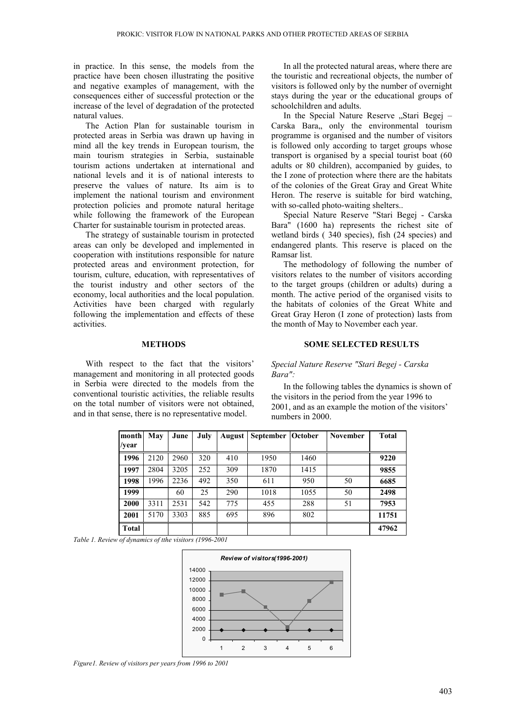in practice. In this sense, the models from the practice have been chosen illustrating the positive and negative examples of management, with the consequences either of successful protection or the increase of the level of degradation of the protected natural values.

The Action Plan for sustainable tourism in protected areas in Serbia was drawn up having in mind all the key trends in European tourism, the main tourism strategies in Serbia, sustainable tourism actions undertaken at international and national levels and it is of national interests to preserve the values of nature. Its aim is to implement the national tourism and environment protection policies and promote natural heritage while following the framework of the European Charter for sustainable tourism in protected areas.

The strategy of sustainable tourism in protected areas can only be developed and implemented in cooperation with institutions responsible for nature protected areas and environment protection, for tourism, culture, education, with representatives of the tourist industry and other sectors of the economy, local authorities and the local population. Activities have been charged with regularly following the implementation and effects of these activities.

# **METHODS**

With respect to the fact that the visitors' management and monitoring in all protected goods in Serbia were directed to the models from the conventional touristic activities, the reliable results on the total number of visitors were not obtained, and in that sense, there is no representative model.

In all the protected natural areas, where there are the touristic and recreational objects, the number of visitors is followed only by the number of overnight stays during the year or the educational groups of schoolchildren and adults.

In the Special Nature Reserve "Stari Begej – Carska Bara, only the environmental tourism programme is organised and the number of visitors is followed only according to target groups whose transport is organised by a special tourist boat (60 adults or 80 children), accompanied by guides, to the I zone of protection where there are the habitats of the colonies of the Great Gray and Great White Heron. The reserve is suitable for bird watching, with so-called photo-waiting shelters...

Special Nature Reserve "Stari Begej - Carska Bara" (1600 ha) represents the richest site of wetland birds ( 340 species), fish (24 species) and endangered plants. This reserve is placed on the Ramsar list.

The methodology of following the number of visitors relates to the number of visitors according to the target groups (children or adults) during a month. The active period of the organised visits to the habitats of colonies of the Great White and Great Gray Heron (I zone of protection) lasts from the month of May to November each year.

#### **SOME SELECTED RESULTS**

# *Special Nature Reserve "Stari Begej - Carska Bara":*

In the following tables the dynamics is shown of the visitors in the period from the year 1996 to 2001, and as an example the motion of the visitors' numbers in 2000.

| month<br>/year | May  | June | July | August | <b>September</b> | October | <b>November</b> | Total |
|----------------|------|------|------|--------|------------------|---------|-----------------|-------|
| 1996           | 2120 | 2960 | 320  | 410    | 1950             | 1460    |                 | 9220  |
| 1997           | 2804 | 3205 | 252  | 309    | 1870             | 1415    |                 | 9855  |
| 1998           | 1996 | 2236 | 492  | 350    | 611              | 950     | 50              | 6685  |
| 1999           |      | 60   | 25   | 290    | 1018             | 1055    | 50              | 2498  |
| 2000           | 3311 | 2531 | 542  | 775    | 455              | 288     | 51              | 7953  |
| 2001           | 5170 | 3303 | 885  | 695    | 896              | 802     |                 | 11751 |
| <b>Total</b>   |      |      |      |        |                  |         |                 | 47962 |

*Table 1. Review of dynamics of tthe visitors (1996-2001*



*Figure1. Review of visitors per years from 1996 to 2001*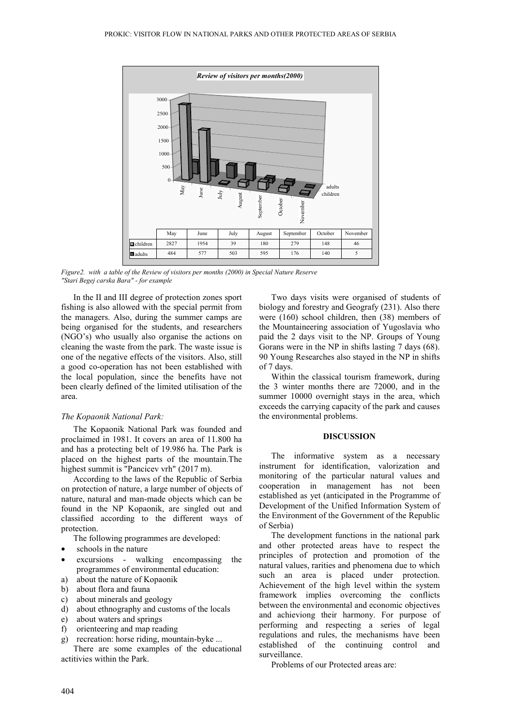

*Figure2. with a table of the Review of visitors per months (2000) in Special Nature Reserve "Stari Begej carska Bara" - for example*

In the II and III degree of protection zones sport fishing is also allowed with the special permit from the managers. Also, during the summer camps are being organised for the students, and researchers (NGO's) who usually also organise the actions on cleaning the waste from the park. The waste issue is one of the negative effects of the visitors. Also, still a good co-operation has not been established with the local population, since the benefits have not been clearly defined of the limited utilisation of the area.

#### *The Kopaonik National Park:*

The Kopaonik National Park was founded and proclaimed in 1981. It covers an area of 11.800 ha and has a protecting belt of 19.986 ha. The Park is placed on the highest parts of the mountain.The highest summit is "Pancicev vrh" (2017 m).

According to the laws of the Republic of Serbia on protection of nature, a large number of objects of nature, natural and man-made objects which can be found in the NP Kopaonik, are singled out and classified according to the different ways of protection.

The following programmes are developed:

- schools in the nature
- excursions walking encompassing the programmes of environmental education:
- a) about the nature of Kopaonik
- b) about flora and fauna
- c) about minerals and geology
- d) about ethnography and customs of the locals
- e) about waters and springs
- f) orienteering and map reading
- g) recreation: horse riding, mountain-byke ...

There are some examples of the educational actitivies within the Park.

Two days visits were organised of students of biology and forestry and Geografy (231). Also there were (160) school children, then (38) members of the Mountaineering association of Yugoslavia who paid the 2 days visit to the NP. Groups of Young Gorans were in the NP in shifts lasting 7 days (68). 90 Young Researches also stayed in the NP in shifts of 7 days.

Within the classical tourism framework, during the 3 winter months there are 72000, and in the summer 10000 overnight stays in the area, which exceeds the carrying capacity of the park and causes the environmental problems.

#### **DISCUSSION**

The informative system as a necessary instrument for identification, valorization and monitoring of the particular natural values and cooperation in management has not been established as yet (anticipated in the Programme of Development of the Unified Information System of the Environment of the Government of the Republic of Serbia)

The development functions in the national park and other protected areas have to respect the principles of protection and promotion of the natural values, rarities and phenomena due to which such an area is placed under protection. Achievement of the high level within the system framework implies overcoming the conflicts between the environmental and economic objectives and achieviong their harmony. For purpose of performing and respecting a series of legal regulations and rules, the mechanisms have been established of the continuing control and surveillance.

Problems of our Protected areas are: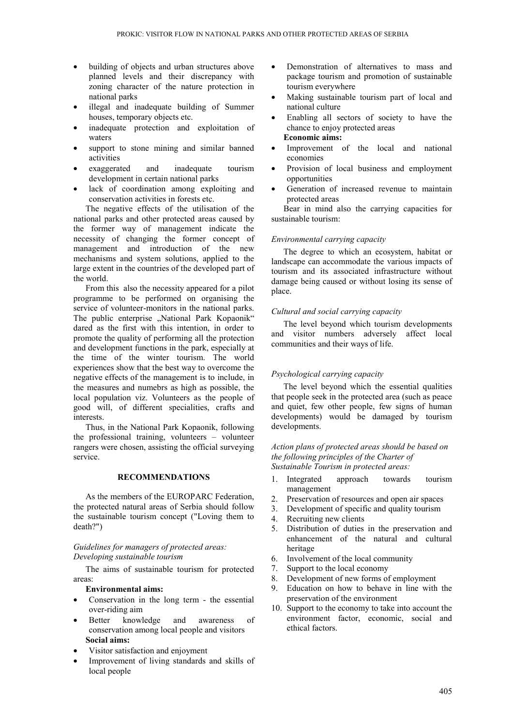- building of objects and urban structures above planned levels and their discrepancy with zoning character of the nature protection in national parks
- illegal and inadequate building of Summer houses, temporary objects etc.
- inadequate protection and exploitation of waters
- support to stone mining and similar banned activities
- exaggerated and inadequate tourism development in certain national parks
- lack of coordination among exploiting and conservation activities in forests etc.

The negative effects of the utilisation of the national parks and other protected areas caused by the former way of management indicate the necessity of changing the former concept of management and introduction of the new mechanisms and system solutions, applied to the large extent in the countries of the developed part of the world.

From this also the necessity appeared for a pilot programme to be performed on organising the service of volunteer-monitors in the national parks. The public enterprise "National Park Kopaonik" dared as the first with this intention, in order to promote the quality of performing all the protection and development functions in the park, especially at the time of the winter tourism. The world experiences show that the best way to overcome the negative effects of the management is to include, in the measures and numebrs as high as possible, the local population viz. Volunteers as the people of good will, of different specialities, crafts and interests.

Thus, in the National Park Kopaonik, following the professional training, volunteers – volunteer rangers were chosen, assisting the official surveying service.

# **RECOMMENDATIONS**

As the members of the EUROPARC Federation, the protected natural areas of Serbia should follow the sustainable tourism concept ("Loving them to death?")

#### *Guidelines for managers of protected areas: Developing sustainable tourism*

The aims of sustainable tourism for protected areas:

# **Environmental aims:**

- Conservation in the long term the essential over-riding aim
- Better knowledge and awareness of conservation among local people and visitors **Social aims:**
- Visitor satisfaction and enjoyment
- Improvement of living standards and skills of local people
- Demonstration of alternatives to mass and package tourism and promotion of sustainable tourism everywhere
- Making sustainable tourism part of local and national culture
- Enabling all sectors of society to have the chance to enjoy protected areas **Economic aims:**
- Improvement of the local and national economies
- Provision of local business and employment opportunities
- Generation of increased revenue to maintain protected areas

Bear in mind also the carrying capacities for sustainable tourism:

## *Environmental carrying capacity*

The degree to which an ecosystem, habitat or landscape can accommodate the various impacts of tourism and its associated infrastructure without damage being caused or without losing its sense of place.

#### *Cultural and social carrying capacity*

The level beyond which tourism developments and visitor numbers adversely affect local communities and their ways of life.

#### *Psychological carrying capacity*

The level beyond which the essential qualities that people seek in the protected area (such as peace and quiet, few other people, few signs of human developments) would be damaged by tourism developments.

*Action plans of protected areas should be based on the following principles of the Charter of Sustainable Tourism in protected areas:*

- 1. Integrated approach towards tourism management
- 2. Preservation of resources and open air spaces
- 3. Development of specific and quality tourism
- 4. Recruiting new clients
- 5. Distribution of duties in the preservation and enhancement of the natural and cultural heritage
- 6. Involvement of the local community
- 7. Support to the local economy
- 8. Development of new forms of employment
- 9. Education on how to behave in line with the preservation of the environment
- 10. Support to the economy to take into account the environment factor, economic, social and ethical factors.